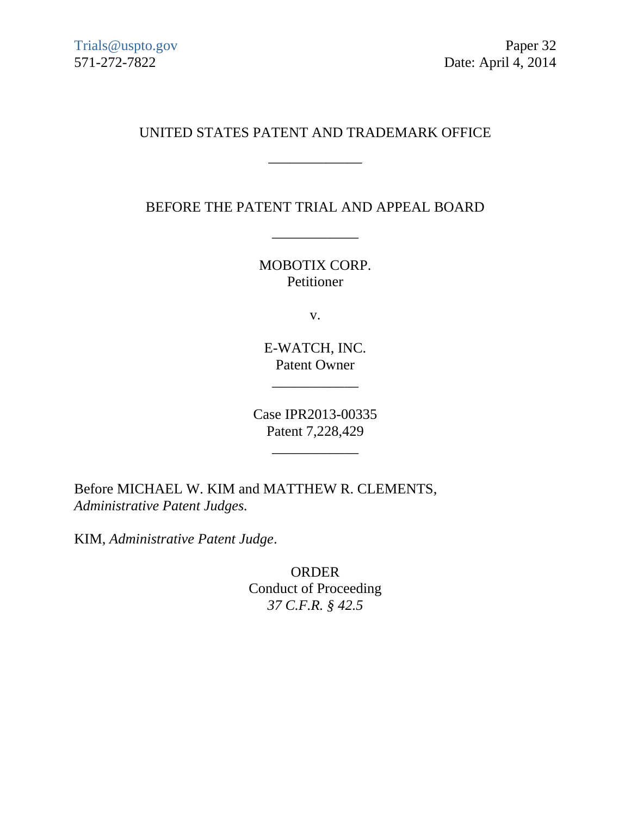# UNITED STATES PATENT AND TRADEMARK OFFICE

\_\_\_\_\_\_\_\_\_\_\_\_\_

BEFORE THE PATENT TRIAL AND APPEAL BOARD

\_\_\_\_\_\_\_\_\_\_\_\_

MOBOTIX CORP. Petitioner

v.

E-WATCH, INC. Patent Owner

\_\_\_\_\_\_\_\_\_\_\_\_

Case IPR2013-00335 Patent 7,228,429

\_\_\_\_\_\_\_\_\_\_\_\_

Before MICHAEL W. KIM and MATTHEW R. CLEMENTS, *Administrative Patent Judges.*

KIM, *Administrative Patent Judge*.

ORDER Conduct of Proceeding *37 C.F.R. § 42.5*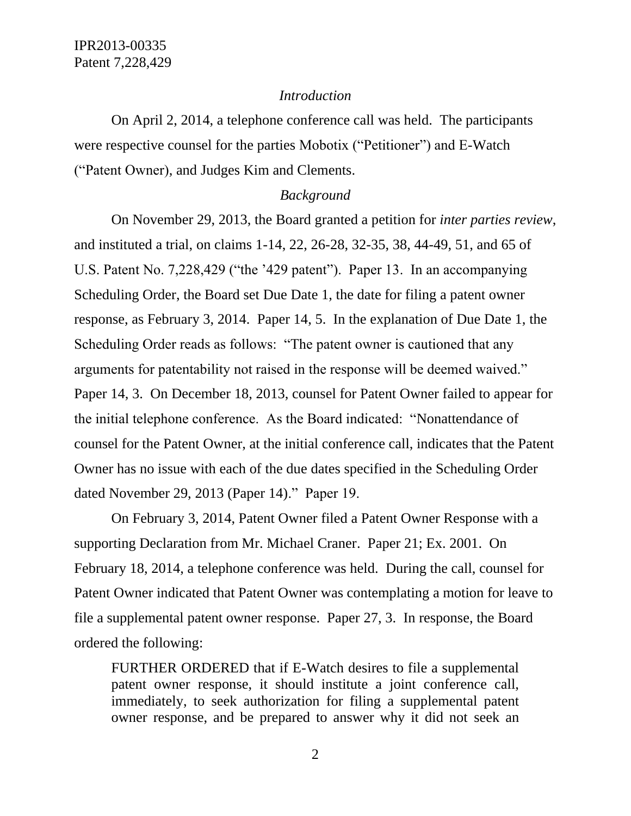#### *Introduction*

On April 2, 2014, a telephone conference call was held. The participants were respective counsel for the parties Mobotix ("Petitioner") and E-Watch ("Patent Owner), and Judges Kim and Clements.

### *Background*

On November 29, 2013, the Board granted a petition for *inter parties review*, and instituted a trial, on claims 1-14, 22, 26-28, 32-35, 38, 44-49, 51, and 65 of U.S. Patent No. 7,228,429 ("the '429 patent"). Paper 13. In an accompanying Scheduling Order, the Board set Due Date 1, the date for filing a patent owner response, as February 3, 2014. Paper 14, 5. In the explanation of Due Date 1, the Scheduling Order reads as follows: "The patent owner is cautioned that any arguments for patentability not raised in the response will be deemed waived." Paper 14, 3. On December 18, 2013, counsel for Patent Owner failed to appear for the initial telephone conference. As the Board indicated: "Nonattendance of counsel for the Patent Owner, at the initial conference call, indicates that the Patent Owner has no issue with each of the due dates specified in the Scheduling Order dated November 29, 2013 (Paper 14)." Paper 19.

On February 3, 2014, Patent Owner filed a Patent Owner Response with a supporting Declaration from Mr. Michael Craner. Paper 21; Ex. 2001. On February 18, 2014, a telephone conference was held. During the call, counsel for Patent Owner indicated that Patent Owner was contemplating a motion for leave to file a supplemental patent owner response. Paper 27, 3. In response, the Board ordered the following:

FURTHER ORDERED that if E-Watch desires to file a supplemental patent owner response, it should institute a joint conference call, immediately, to seek authorization for filing a supplemental patent owner response, and be prepared to answer why it did not seek an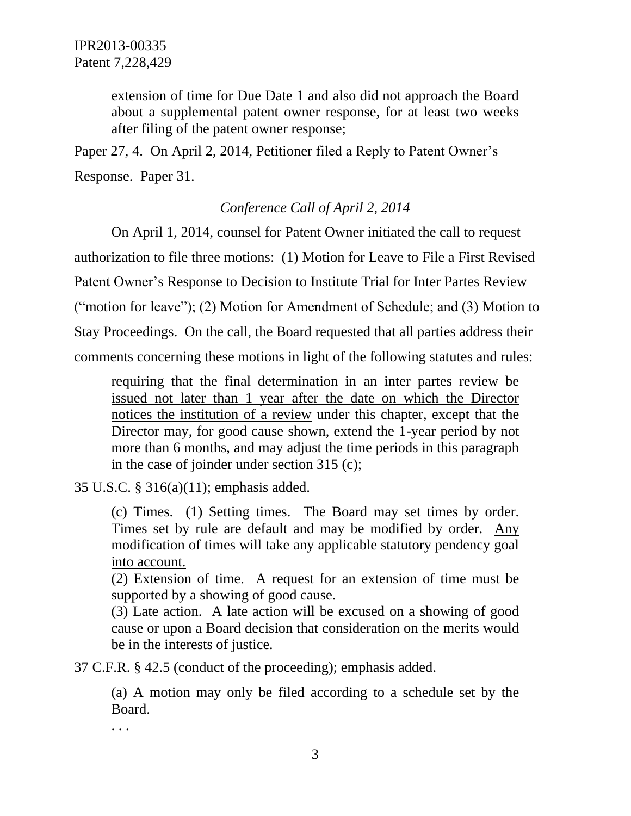extension of time for Due Date 1 and also did not approach the Board about a supplemental patent owner response, for at least two weeks after filing of the patent owner response;

Paper 27, 4. On April 2, 2014, Petitioner filed a Reply to Patent Owner's Response. Paper 31.

# *Conference Call of April 2, 2014*

On April 1, 2014, counsel for Patent Owner initiated the call to request authorization to file three motions: (1) Motion for Leave to File a First Revised Patent Owner's Response to Decision to Institute Trial for Inter Partes Review ("motion for leave"); (2) Motion for Amendment of Schedule; and (3) Motion to Stay Proceedings. On the call, the Board requested that all parties address their comments concerning these motions in light of the following statutes and rules:

requiring that the final determination in an inter partes review be issued not later than 1 year after the date on which the Director notices the institution of a review under this chapter, except that the Director may, for good cause shown, extend the 1-year period by not more than 6 months, and may adjust the time periods in this paragraph in the case of joinder under section 315 (c);

35 U.S.C. § 316(a)(11); emphasis added.

(c) Times. (1) Setting times. The Board may set times by order. Times set by rule are default and may be modified by order. Any modification of times will take any applicable statutory pendency goal into account.

(2) Extension of time. A request for an extension of time must be supported by a showing of good cause.

(3) Late action. A late action will be excused on a showing of good cause or upon a Board decision that consideration on the merits would be in the interests of justice.

37 C.F.R. § 42.5 (conduct of the proceeding); emphasis added.

(a) A motion may only be filed according to a schedule set by the Board.

. . .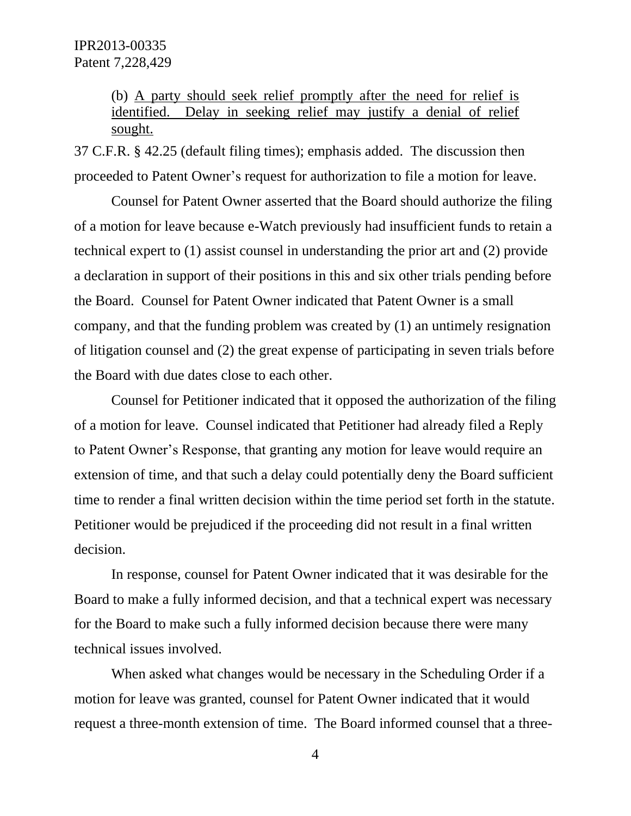(b) A party should seek relief promptly after the need for relief is identified. Delay in seeking relief may justify a denial of relief sought.

37 C.F.R. § 42.25 (default filing times); emphasis added. The discussion then proceeded to Patent Owner's request for authorization to file a motion for leave.

Counsel for Patent Owner asserted that the Board should authorize the filing of a motion for leave because e-Watch previously had insufficient funds to retain a technical expert to (1) assist counsel in understanding the prior art and (2) provide a declaration in support of their positions in this and six other trials pending before the Board. Counsel for Patent Owner indicated that Patent Owner is a small company, and that the funding problem was created by (1) an untimely resignation of litigation counsel and (2) the great expense of participating in seven trials before the Board with due dates close to each other.

Counsel for Petitioner indicated that it opposed the authorization of the filing of a motion for leave. Counsel indicated that Petitioner had already filed a Reply to Patent Owner's Response, that granting any motion for leave would require an extension of time, and that such a delay could potentially deny the Board sufficient time to render a final written decision within the time period set forth in the statute. Petitioner would be prejudiced if the proceeding did not result in a final written decision.

In response, counsel for Patent Owner indicated that it was desirable for the Board to make a fully informed decision, and that a technical expert was necessary for the Board to make such a fully informed decision because there were many technical issues involved.

When asked what changes would be necessary in the Scheduling Order if a motion for leave was granted, counsel for Patent Owner indicated that it would request a three-month extension of time. The Board informed counsel that a three-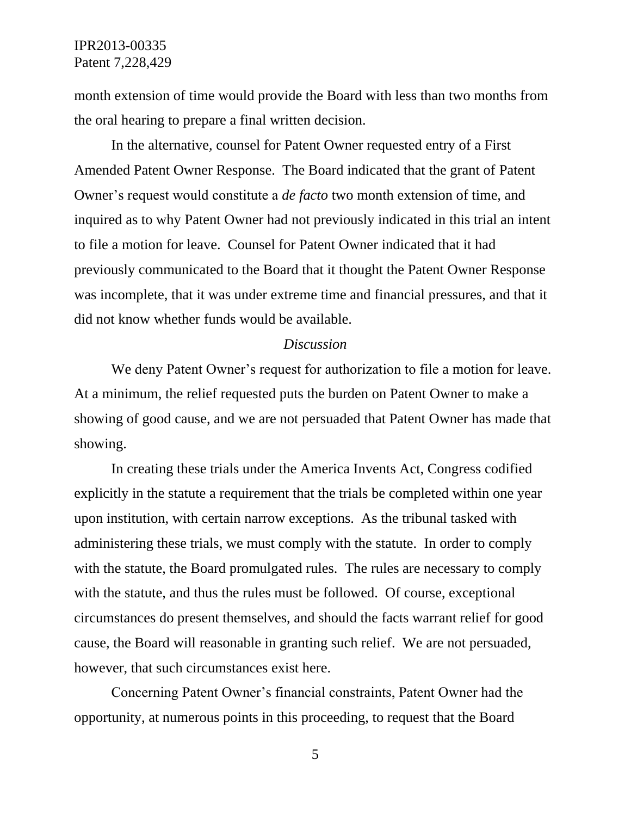month extension of time would provide the Board with less than two months from the oral hearing to prepare a final written decision.

In the alternative, counsel for Patent Owner requested entry of a First Amended Patent Owner Response. The Board indicated that the grant of Patent Owner's request would constitute a *de facto* two month extension of time, and inquired as to why Patent Owner had not previously indicated in this trial an intent to file a motion for leave. Counsel for Patent Owner indicated that it had previously communicated to the Board that it thought the Patent Owner Response was incomplete, that it was under extreme time and financial pressures, and that it did not know whether funds would be available.

#### *Discussion*

We deny Patent Owner's request for authorization to file a motion for leave. At a minimum, the relief requested puts the burden on Patent Owner to make a showing of good cause, and we are not persuaded that Patent Owner has made that showing.

In creating these trials under the America Invents Act, Congress codified explicitly in the statute a requirement that the trials be completed within one year upon institution, with certain narrow exceptions. As the tribunal tasked with administering these trials, we must comply with the statute. In order to comply with the statute, the Board promulgated rules. The rules are necessary to comply with the statute, and thus the rules must be followed. Of course, exceptional circumstances do present themselves, and should the facts warrant relief for good cause, the Board will reasonable in granting such relief. We are not persuaded, however, that such circumstances exist here.

Concerning Patent Owner's financial constraints, Patent Owner had the opportunity, at numerous points in this proceeding, to request that the Board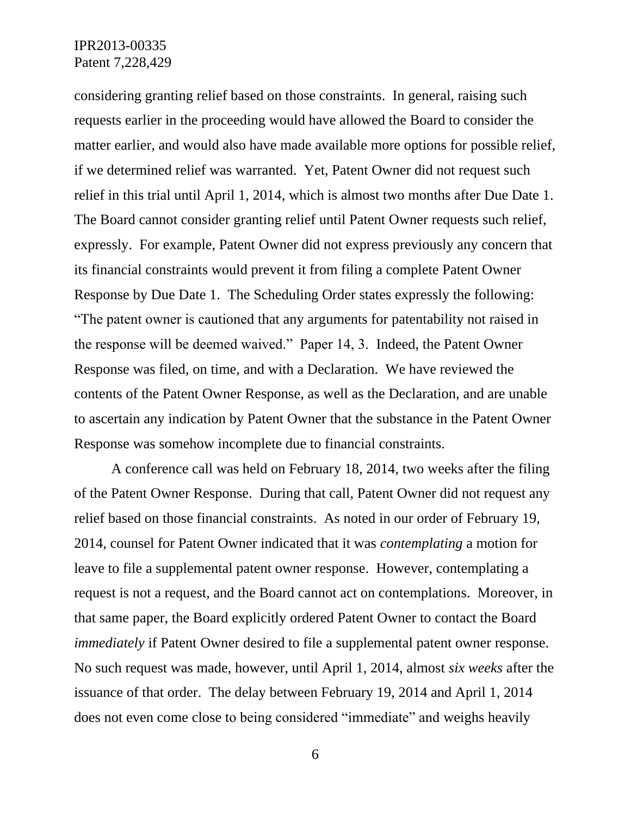considering granting relief based on those constraints. In general, raising such requests earlier in the proceeding would have allowed the Board to consider the matter earlier, and would also have made available more options for possible relief, if we determined relief was warranted. Yet, Patent Owner did not request such relief in this trial until April 1, 2014, which is almost two months after Due Date 1. The Board cannot consider granting relief until Patent Owner requests such relief, expressly. For example, Patent Owner did not express previously any concern that its financial constraints would prevent it from filing a complete Patent Owner Response by Due Date 1. The Scheduling Order states expressly the following: "The patent owner is cautioned that any arguments for patentability not raised in the response will be deemed waived." Paper 14, 3. Indeed, the Patent Owner Response was filed, on time, and with a Declaration. We have reviewed the contents of the Patent Owner Response, as well as the Declaration, and are unable to ascertain any indication by Patent Owner that the substance in the Patent Owner Response was somehow incomplete due to financial constraints.

A conference call was held on February 18, 2014, two weeks after the filing of the Patent Owner Response. During that call, Patent Owner did not request any relief based on those financial constraints. As noted in our order of February 19, 2014, counsel for Patent Owner indicated that it was *contemplating* a motion for leave to file a supplemental patent owner response. However, contemplating a request is not a request, and the Board cannot act on contemplations. Moreover, in that same paper, the Board explicitly ordered Patent Owner to contact the Board *immediately* if Patent Owner desired to file a supplemental patent owner response. No such request was made, however, until April 1, 2014, almost *six weeks* after the issuance of that order. The delay between February 19, 2014 and April 1, 2014 does not even come close to being considered "immediate" and weighs heavily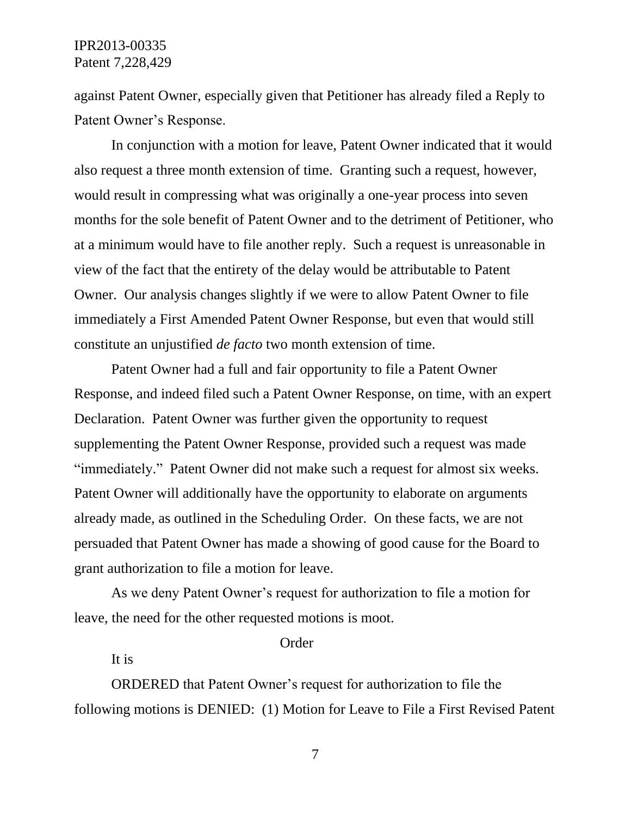against Patent Owner, especially given that Petitioner has already filed a Reply to Patent Owner's Response.

In conjunction with a motion for leave, Patent Owner indicated that it would also request a three month extension of time. Granting such a request, however, would result in compressing what was originally a one-year process into seven months for the sole benefit of Patent Owner and to the detriment of Petitioner, who at a minimum would have to file another reply. Such a request is unreasonable in view of the fact that the entirety of the delay would be attributable to Patent Owner. Our analysis changes slightly if we were to allow Patent Owner to file immediately a First Amended Patent Owner Response, but even that would still constitute an unjustified *de facto* two month extension of time.

Patent Owner had a full and fair opportunity to file a Patent Owner Response, and indeed filed such a Patent Owner Response, on time, with an expert Declaration. Patent Owner was further given the opportunity to request supplementing the Patent Owner Response, provided such a request was made "immediately." Patent Owner did not make such a request for almost six weeks. Patent Owner will additionally have the opportunity to elaborate on arguments already made, as outlined in the Scheduling Order. On these facts, we are not persuaded that Patent Owner has made a showing of good cause for the Board to grant authorization to file a motion for leave.

As we deny Patent Owner's request for authorization to file a motion for leave, the need for the other requested motions is moot.

#### Order

It is

ORDERED that Patent Owner's request for authorization to file the following motions is DENIED: (1) Motion for Leave to File a First Revised Patent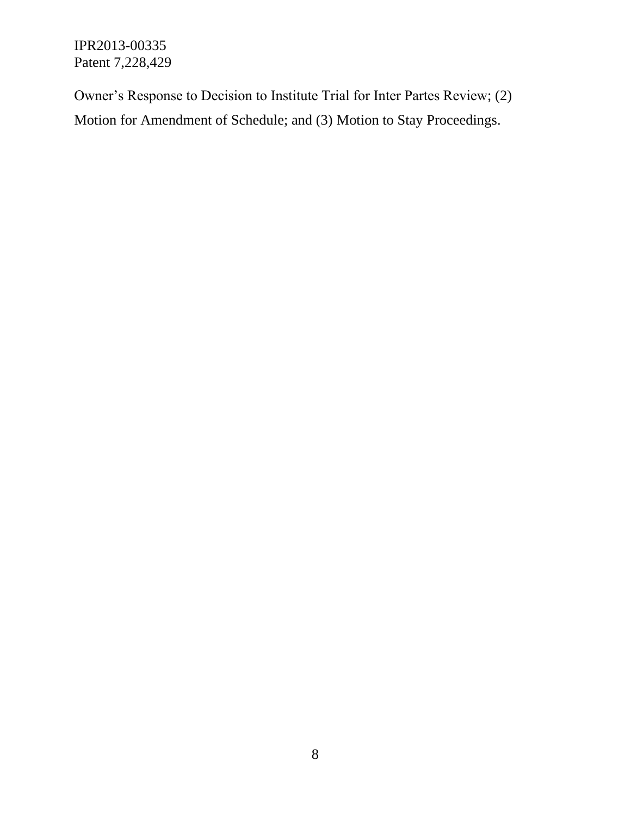Owner's Response to Decision to Institute Trial for Inter Partes Review; (2) Motion for Amendment of Schedule; and (3) Motion to Stay Proceedings.